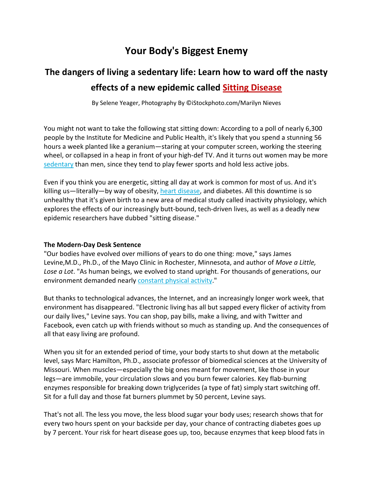## **Your Body's Biggest Enemy**

## **The dangers of living a sedentary life: Learn how to ward off the nasty effects of a new epidemic called Sitting Disease**

By Selene Yeager, Photography By ©iStockphoto.com/Marilyn Nieves

You might not want to take the following stat sitting down: According to a poll of nearly 6,300 people by the Institute for Medicine and Public Health, it's likely that you spend a stunning 56 hours a week planted like a geranium—staring at your computer screen, working the steering wheel, or collapsed in a heap in front of your high-def TV. And it turns out women may be more [sedentary](http://www.womenshealthmag.com/weight-loss/how-do-you-stay-slim-at-an-office-job) than men, since they tend to play fewer sports and hold less active jobs.

Even if you think you are energetic, sitting all day at work is common for most of us. And it's killing us—literally—by way of obesity, [heart disease,](http://www.womenshealthmag.com/health/what-you-should-know-about-your-heart) and diabetes. All this downtime is so unhealthy that it's given birth to a new area of medical study called inactivity physiology, which explores the effects of our increasingly butt-bound, tech-driven lives, as well as a deadly new epidemic researchers have dubbed "sitting disease."

## **The Modern-Day Desk Sentence**

"Our bodies have evolved over millions of years to do one thing: move," says James Levine,M.D., Ph.D., of the Mayo Clinic in Rochester, Minnesota, and author of *Move a Little, Lose a Lot*. "As human beings, we evolved to stand upright. For thousands of generations, our environment demanded nearly [constant physical activity.](http://www.womenshealthmag.com/health/why-norwegians-are-thin)"

But thanks to technological advances, the Internet, and an increasingly longer work week, that environment has disappeared. "Electronic living has all but sapped every flicker of activity from our daily lives," Levine says. You can shop, pay bills, make a living, and with Twitter and Facebook, even catch up with friends without so much as standing up. And the consequences of all that easy living are profound.

When you sit for an extended period of time, your body starts to shut down at the metabolic level, says Marc Hamilton, Ph.D., associate professor of biomedical sciences at the University of Missouri. When muscles—especially the big ones meant for movement, like those in your legs—are immobile, your circulation slows and you burn fewer calories. Key flab-burning enzymes responsible for breaking down triglycerides (a type of fat) simply start switching off. Sit for a full day and those fat burners plummet by 50 percent, Levine says.

That's not all. The less you move, the less blood sugar your body uses; research shows that for every two hours spent on your backside per day, your chance of contracting diabetes goes up by 7 percent. Your risk for heart disease goes up, too, because enzymes that keep blood fats in